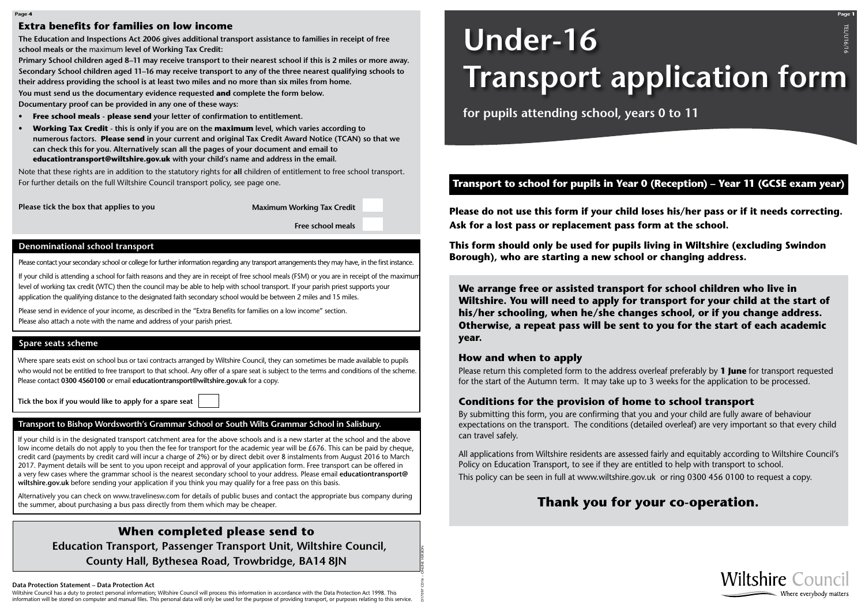



# **Under-16 Transport application form** TEL/U16/16

**for pupils attending school, years 0 to 11**

D17097 CD16 – ONLINE VERSION

#### **Data Protection Statement – Data Protection Act**

Wiltshire Council has a duty to protect personal information; Wiltshire Council will process this information in accordance with the Data Protection Act 1998. This information will be stored on computer and manual files. This personal data will only be used for the purpose of providing transport, or purposes relating to this service. **We arrange free or assisted transport for school children who live in Wiltshire. You will need to apply for transport for your child at the start of his/her schooling, when he/she changes school, or if you change address. Otherwise, a repeat pass will be sent to you for the start of each academic year.**

#### **How and when to apply**

Please return this completed form to the address overleaf preferably by **1 June** for transport requested for the start of the Autumn term. It may take up to 3 weeks for the application to be processed.

### **Conditions for the provision of home to school transport**

By submitting this form, you are confirming that you and your child are fully aware of behaviour expectations on the transport. The conditions (detailed overleaf) are very important so that every child can travel safely.

All applications from Wiltshire residents are assessed fairly and equitably according to Wiltshire Council's Policy on Education Transport, to see if they are entitled to help with transport to school. This policy can be seen in full at www.wiltshire.gov.uk or ring 0300 456 0100 to request a copy.

## **Transport to school for pupils in Year 0 (Reception) – Year 11 (GCSE exam year)**

# **Thank you for your co-operation.**

**Please do not use this form if your child loses his/her pass or if it needs correcting. Ask for a lost pass or replacement pass form at the school.** 

**This form should only be used for pupils living in Wiltshire (excluding Swindon Borough), who are starting a new school or changing address.**

#### **Extra benefits for families on low income**

**The Education and Inspections Act 2006 gives additional transport assistance to families in receipt of free school meals or the** maximum **level of Working Tax Credit:**

**Primary School children aged 8–11 may receive transport to their nearest school if this is 2 miles or more away. Secondary School children aged 11–16 may receive transport to any of the three nearest qualifying schools to their address providing the school is at least two miles and no more than six miles from home.**

**You must send us the documentary evidence requested and complete the form below. Documentary proof can be provided in any one of these ways:**

- **• Free school meals please send your letter of confirmation to entitlement.**
- **Working Tax Credit this is only if you are on the maximum level, which varies according to numerous factors. Please send in your current and original Tax Credit Award Notice (TCAN) so that we can check this for you. Alternatively scan all the pages of your document and email to educationtransport@wiltshire.gov.uk with your child's name and address in the email.**

Note that these rights are in addition to the statutory rights for **all** children of entitlement to free school transport. For further details on the full Wiltshire Council transport policy, see page one.

**Please tick the box that applies to you**

**Maximum Working Tax Credit**

**Free school meals**

Please contact your secondary school or college for further information regarding any transport arrangements they may have, in the first instance.

If your child is attending a school for faith reasons and they are in receipt of free school meals (FSM) or you are in receipt of the maximum level of working tax credit (WTC) then the council may be able to help with school transport. If your parish priest supports your application the qualifying distance to the designated faith secondary school would be between 2 miles and 15 miles.

Please send in evidence of your income, as described in the "Extra Benefits for families on a low income" section. Please also attach a note with the name and address of your parish priest.

#### **Denominational school transport**

Where spare seats exist on school bus or taxi contracts arranged by Wiltshire Council, they can sometimes be made available to pupils who would not be entitled to free transport to that school. Any offer of a spare seat is subject to the terms and conditions of the scheme. Please contact **0300 4560100** or email **educationtransport@wiltshire.gov.uk** for a copy.

**Tick the box if you would like to apply for a spare seat**

#### **Spare seats scheme**

## **When completed please send to**

 **Education Transport, Passenger Transport Unit, Wiltshire Council, County Hall, Bythesea Road, Trowbridge, BA14 8JN**

#### **Transport to Bishop Wordsworth's Grammar School or South Wilts Grammar School in Salisbury.**

If your child is in the designated transport catchment area for the above schools and is a new starter at the school and the above low income details do not apply to you then the fee for transport for the academic year will be £676. This can be paid by cheque, credit card (payments by credit card will incur a charge of 2%) or by direct debit over 8 instalments from August 2016 to March 2017. Payment details will be sent to you upon receipt and approval of your application form. Free transport can be offered in a very few cases where the grammar school is the nearest secondary school to your address. Please email **educationtransport@ wiltshire.gov.uk** before sending your application if you think you may qualify for a free pass on this basis.

Alternatively you can check on www.travelinesw.com for details of public buses and contact the appropriate bus company during the summer, about purchasing a bus pass directly from them which may be cheaper.